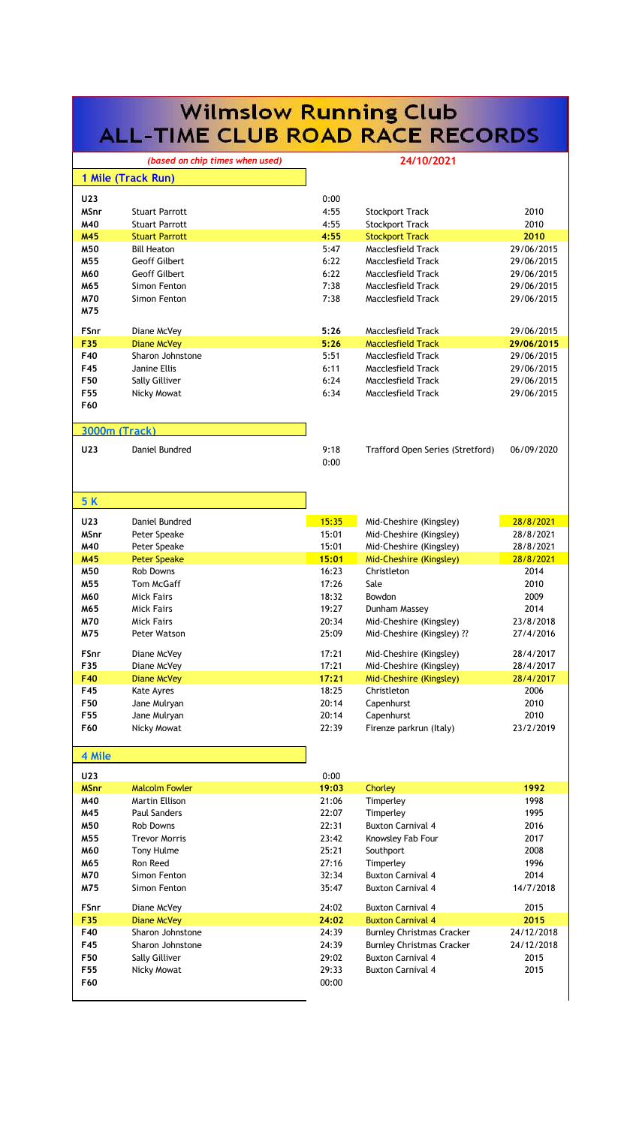| <b>Wilmslow Running Club</b> |                                             |                |                                                       |                          |  |  |  |
|------------------------------|---------------------------------------------|----------------|-------------------------------------------------------|--------------------------|--|--|--|
|                              | <b>ALL-TIME CLUB ROAD RACE RECORDS</b>      |                |                                                       |                          |  |  |  |
|                              | (based on chip times when used)             |                | 24/10/2021                                            |                          |  |  |  |
|                              | 1 Mile (Track Run)                          |                |                                                       |                          |  |  |  |
| U23                          |                                             | 0:00           |                                                       |                          |  |  |  |
| MSnr                         | <b>Stuart Parrott</b>                       | 4:55           | <b>Stockport Track</b>                                | 2010                     |  |  |  |
| M40                          | <b>Stuart Parrott</b>                       | 4:55           | <b>Stockport Track</b>                                | 2010                     |  |  |  |
| M45<br>M50                   | <b>Stuart Parrott</b><br><b>Bill Heaton</b> | 4:55<br>5:47   | <b>Stockport Track</b><br>Macclesfield Track          | 2010<br>29/06/2015       |  |  |  |
| M55                          | <b>Geoff Gilbert</b>                        | 6:22           | Macclesfield Track                                    | 29/06/2015               |  |  |  |
| M60                          | Geoff Gilbert                               | 6:22           | Macclesfield Track                                    | 29/06/2015               |  |  |  |
| M65                          | Simon Fenton                                | 7:38           | Macclesfield Track                                    | 29/06/2015               |  |  |  |
| M70<br>M75                   | Simon Fenton                                | 7:38           | Macclesfield Track                                    | 29/06/2015               |  |  |  |
| <b>FSnr</b>                  | Diane McVey                                 | 5:26           | Macclesfield Track                                    | 29/06/2015               |  |  |  |
| F35                          | Diane McVey                                 | 5:26           | <b>Macclesfield Track</b>                             | 29/06/2015               |  |  |  |
| F40<br>F45                   | Sharon Johnstone<br>Janine Ellis            | 5:51<br>6:11   | Macclesfield Track<br>Macclesfield Track              | 29/06/2015<br>29/06/2015 |  |  |  |
| F50                          | Sally Gilliver                              | 6:24           | Macclesfield Track                                    | 29/06/2015               |  |  |  |
| F55                          | Nicky Mowat                                 | 6:34           | Macclesfield Track                                    | 29/06/2015               |  |  |  |
| F60                          |                                             |                |                                                       |                          |  |  |  |
| <b>3000m (Track)</b>         |                                             |                |                                                       |                          |  |  |  |
| U23                          | Daniel Bundred                              | 9:18<br>0:00   | Trafford Open Series (Stretford)                      | 06/09/2020               |  |  |  |
|                              |                                             |                |                                                       |                          |  |  |  |
| 5 K                          |                                             |                |                                                       |                          |  |  |  |
| U23                          | Daniel Bundred                              | 15:35          | Mid-Cheshire (Kingsley)                               | 28/8/2021                |  |  |  |
| MSnr                         | Peter Speake                                | 15:01          | Mid-Cheshire (Kingsley)                               | 28/8/2021                |  |  |  |
| M40<br>M45                   | Peter Speake<br><b>Peter Speake</b>         | 15:01<br>15:01 | Mid-Cheshire (Kingsley)<br>Mid-Cheshire (Kingsley)    | 28/8/2021<br>28/8/2021   |  |  |  |
| M50                          | <b>Rob Downs</b>                            | 16:23          | Christleton                                           | 2014                     |  |  |  |
| M55                          | Tom McGaff                                  | 17:26          | Sale                                                  | 2010                     |  |  |  |
| M60                          | <b>Mick Fairs</b>                           | 18:32          | Bowdon                                                | 2009                     |  |  |  |
| M65                          | <b>Mick Fairs</b>                           | 19:27          | Dunham Massey                                         | 2014                     |  |  |  |
| M70<br>M75                   | <b>Mick Fairs</b><br>Peter Watson           | 20:34<br>25:09 | Mid-Cheshire (Kingsley)<br>Mid-Cheshire (Kingsley) ?? | 23/8/2018<br>27/4/2016   |  |  |  |
|                              |                                             |                |                                                       |                          |  |  |  |
| FSnr                         | Diane McVey                                 | 17:21          | Mid-Cheshire (Kingsley)                               | 28/4/2017                |  |  |  |
| F35<br>F40                   | Diane McVey<br>Diane McVey                  | 17:21<br>17:21 | Mid-Cheshire (Kingsley)<br>Mid-Cheshire (Kingsley)    | 28/4/2017<br>28/4/2017   |  |  |  |
| F45                          | Kate Ayres                                  | 18:25          | Christleton                                           | 2006                     |  |  |  |
| F50                          | Jane Mulryan                                | 20:14          | Capenhurst                                            | 2010                     |  |  |  |
| F55                          | Jane Mulryan                                | 20:14          | Capenhurst                                            | 2010                     |  |  |  |
| F60                          | Nicky Mowat                                 | 22:39          | Firenze parkrun (Italy)                               | 23/2/2019                |  |  |  |
| 4 Mile                       |                                             |                |                                                       |                          |  |  |  |
| U23                          |                                             | 0:00           |                                                       |                          |  |  |  |
| <b>MSnr</b><br>M40           | <b>Malcolm Fowler</b><br>Martin Ellison     | 19:03<br>21:06 | Chorley<br>Timperley                                  | 1992<br>1998             |  |  |  |
| M45                          | Paul Sanders                                | 22:07          | Timperley                                             | 1995                     |  |  |  |
| M50                          | <b>Rob Downs</b>                            | 22:31          | <b>Buxton Carnival 4</b>                              | 2016                     |  |  |  |
| M55                          | <b>Trevor Morris</b>                        | 23:42          | Knowsley Fab Four                                     | 2017                     |  |  |  |
| M60                          | Tony Hulme                                  | 25:21          | Southport                                             | 2008                     |  |  |  |
| M65                          | Ron Reed                                    | 27:16          | Timperley                                             | 1996                     |  |  |  |
| M70<br>M75                   | Simon Fenton<br>Simon Fenton                | 32:34<br>35:47 | <b>Buxton Carnival 4</b><br><b>Buxton Carnival 4</b>  | 2014<br>14/7/2018        |  |  |  |
| <b>FSnr</b>                  | Diane McVey                                 | 24:02          | <b>Buxton Carnival 4</b>                              | 2015                     |  |  |  |
| F35                          | <b>Diane McVey</b>                          | 24:02          | <b>Buxton Carnival 4</b>                              | 2015                     |  |  |  |
| F40                          | Sharon Johnstone                            | 24:39          | <b>Burnley Christmas Cracker</b>                      | 24/12/2018               |  |  |  |
| F45                          | Sharon Johnstone                            | 24:39          | <b>Burnley Christmas Cracker</b>                      | 24/12/2018               |  |  |  |
| F50                          | Sally Gilliver                              | 29:02          | <b>Buxton Carnival 4</b>                              | 2015                     |  |  |  |
| F55<br>F60                   | Nicky Mowat                                 | 29:33<br>00:00 | <b>Buxton Carnival 4</b>                              | 2015                     |  |  |  |
|                              |                                             |                |                                                       |                          |  |  |  |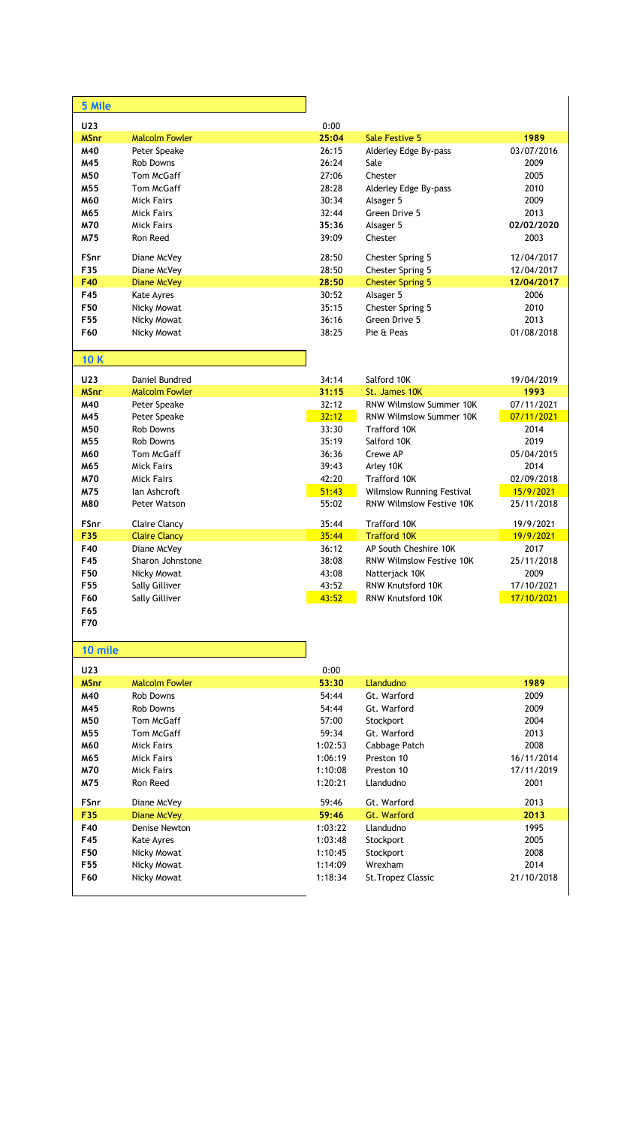| 5 Mile          |                       |         |                                 |            |
|-----------------|-----------------------|---------|---------------------------------|------------|
| U23             |                       | 0:00    |                                 |            |
| <b>MSnr</b>     | <b>Malcolm Fowler</b> | 25:04   | <b>Sale Festive 5</b>           | 1989       |
| M40             | Peter Speake          | 26:15   | Alderley Edge By-pass           | 03/07/2016 |
| M45             | <b>Rob Downs</b>      | 26:24   | Sale                            | 2009       |
| M50             | Tom McGaff            | 27:06   | Chester                         | 2005       |
| M55             | Tom McGaff            | 28:28   | Alderley Edge By-pass           | 2010       |
| M60             | <b>Mick Fairs</b>     | 30:34   | Alsager 5                       | 2009       |
| M65             | <b>Mick Fairs</b>     | 32:44   | Green Drive 5                   | 2013       |
| M70             | <b>Mick Fairs</b>     | 35:36   | Alsager 5                       | 02/02/2020 |
| M75             | Ron Reed              | 39:09   | Chester                         | 2003       |
| FSnr            | Diane McVey           | 28:50   | Chester Spring 5                | 12/04/2017 |
| F35             | Diane McVey           | 28:50   | Chester Spring 5                | 12/04/2017 |
| F40             | <b>Diane McVey</b>    | 28:50   | <b>Chester Spring 5</b>         | 12/04/2017 |
| F45             | <b>Kate Ayres</b>     | 30:52   | Alsager 5                       | 2006       |
| F50             | Nicky Mowat           | 35:15   | Chester Spring 5                | 2010       |
| F55             | Nicky Mowat           | 36:16   | Green Drive 5                   | 2013       |
| F60             | Nicky Mowat           | 38:25   | Pie & Peas                      | 01/08/2018 |
| 10 K            |                       |         |                                 |            |
| U23             | Daniel Bundred        | 34:14   | Salford 10K                     | 19/04/2019 |
| <b>MSnr</b>     | <b>Malcolm Fowler</b> | 31:15   | St. James 10K                   | 1993       |
| M40             | Peter Speake          | 32:12   | RNW Wilmslow Summer 10K         | 07/11/2021 |
| M45             | Peter Speake          | 32:12   | RNW Wilmslow Summer 10K         | 07/11/2021 |
| M50             | <b>Rob Downs</b>      | 33:30   | <b>Trafford 10K</b>             | 2014       |
| M <sub>55</sub> | <b>Rob Downs</b>      | 35:19   | Salford 10K                     | 2019       |
| M60             | Tom McGaff            | 36:36   | Crewe AP                        | 05/04/2015 |
| M65             | <b>Mick Fairs</b>     | 39:43   | Arley 10K                       | 2014       |
| M70             | <b>Mick Fairs</b>     | 42:20   | Trafford 10K                    | 02/09/2018 |
| M75             | lan Ashcroft          | 51:43   | Wilmslow Running Festival       | 15/9/2021  |
| <b>M80</b>      | Peter Watson          | 55:02   | <b>RNW Wilmslow Festive 10K</b> | 25/11/2018 |
| FSnr            | <b>Claire Clancy</b>  | 35:44   | Trafford 10K                    | 19/9/2021  |
| F35             | <b>Claire Clancy</b>  | 35:44   | <b>Trafford 10K</b>             | 19/9/2021  |
| F40             | Diane McVey           | 36:12   | AP South Cheshire 10K           | 2017       |
| F45             | Sharon Johnstone      | 38:08   | RNW Wilmslow Festive 10K        | 25/11/2018 |
| F50             | Nicky Mowat           | 43:08   | Natterjack 10K                  | 2009       |
| F55             | Sally Gilliver        | 43:52   | RNW Knutsford 10K               | 17/10/2021 |
| F60             | Sally Gilliver        | 43:52   | <b>RNW Knutsford 10K</b>        | 17/10/2021 |
| F65             |                       |         |                                 |            |
| F70             |                       |         |                                 |            |
| 10 mile         |                       |         |                                 |            |
| U23             |                       | 0:00    |                                 |            |
| <b>MSnr</b>     | <b>Malcolm Fowler</b> | 53:30   | Llandudno                       | 1989       |
| M40             | Rob Downs             | 54:44   | Gt. Warford                     | 2009       |
| M45             | Rob Downs             | 54:44   | Gt. Warford                     | 2009       |
| M50             | Tom McGaff            | 57:00   | Stockport                       | 2004       |
| M55             | Tom McGaff            | 59:34   | Gt. Warford                     | 2013       |
| M60             | <b>Mick Fairs</b>     | 1:02:53 | Cabbage Patch                   | 2008       |
| M65             | <b>Mick Fairs</b>     | 1:06:19 | Preston 10                      | 16/11/2014 |
| M70             | <b>Mick Fairs</b>     | 1:10:08 | Preston 10                      | 17/11/2019 |
| M75             | Ron Reed              | 1:20:21 | Llandudno                       | 2001       |
| FSnr            | Diane McVey           | 59:46   | Gt. Warford                     | 2013       |
| F35             | <b>Diane McVey</b>    | 59:46   | Gt. Warford                     | 2013       |
| F40             | Denise Newton         | 1:03:22 | Llandudno                       | 1995       |
| F45             | Kate Ayres            | 1:03:48 | Stockport                       | 2005       |
| F50             | Nicky Mowat           | 1:10:45 | Stockport                       | 2008       |
| F55             | Nicky Mowat           | 1:14:09 | Wrexham                         | 2014       |
| F60             | Nicky Mowat           | 1:18:34 | St. Tropez Classic              | 21/10/2018 |
|                 |                       |         |                                 |            |